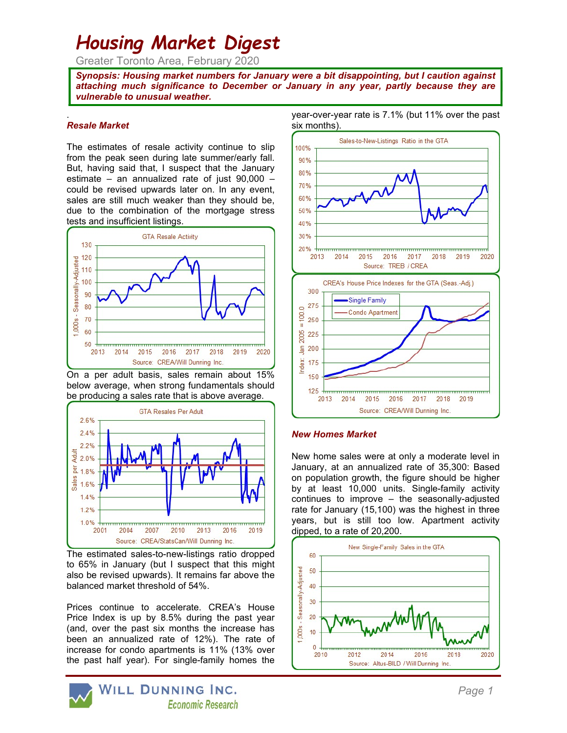# Housing Market Digest

Greater Toronto Area, February 2020

Synopsis: Housing market numbers for January were a bit disappointing, but I caution against attaching much significance to December or January in any year, partly because they are vulnerable to unusual weather.

#### . Resale Market

The estimates of resale activity continue to slip from the peak seen during late summer/early fall. But, having said that, I suspect that the January estimate – an annualized rate of just 90,000 – could be revised upwards later on. In any event, sales are still much weaker than they should be, due to the combination of the mortgage stress tests and insufficient listings.



On a per adult basis, sales remain about 15% below average, when strong fundamentals should be producing a sales rate that is above average.



The estimated sales-to-new-listings ratio dropped to 65% in January (but I suspect that this might also be revised upwards). It remains far above the balanced market threshold of 54%.

Prices continue to accelerate. CREA's House Price Index is up by 8.5% during the past year (and, over the past six months the increase has been an annualized rate of 12%). The rate of increase for condo apartments is 11% (13% over the past half year). For single-family homes the



year-over-year rate is 7.1% (but 11% over the past six months).



#### New Homes Market

New home sales were at only a moderate level in January, at an annualized rate of 35,300: Based on population growth, the figure should be higher by at least 10,000 units. Single-family activity continues to improve – the seasonally-adjusted rate for January (15,100) was the highest in three years, but is still too low. Apartment activity dipped, to a rate of 20,200.